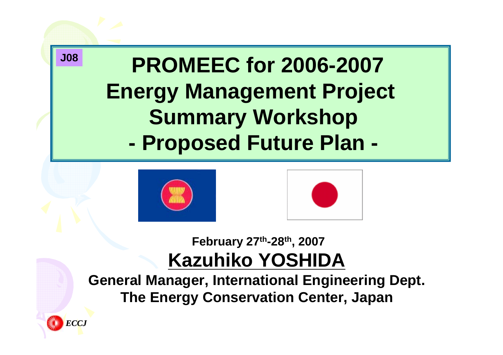





#### **February 27th-28th, 2007 Kazuhiko YOSHIDA**

**General Manager, International Engineering Dept. The Energy Conservation Center, Japan**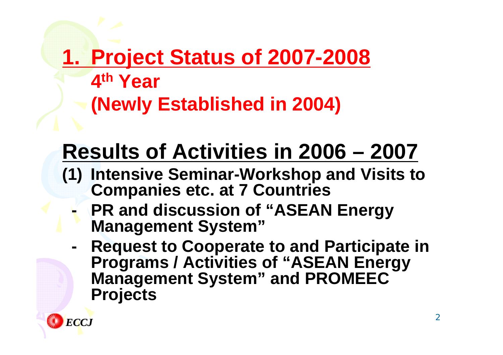### **1. Project Status of 2007-2008 4th Year (Newly Established in 2004)**

## **Results of Activities in 2006 – 2007**

- **(1) Intensive Seminar-Workshop and Visits to Companies etc. at 7 Countries** 
	- **PR and discussion of "ASEAN Energy Management System"**
	- **Request to Cooperate to and Participate in Programs / Activities of "ASEAN Energy Management System" and PROMEEC Projects**

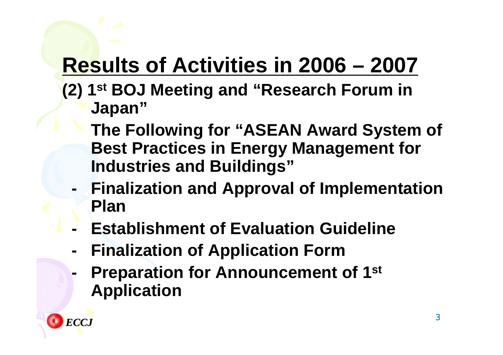## **Results of Activities in 2006 – 2007**

- **(2) 1st BOJ Meeting and "Research Forum in Japan"**
	- **The Following for "ASEAN Award System of Best Practices in Energy Management for Industries and Buildings"**
	- **Finalization and Approval of Implementation Plan**
	- **Establishment of Evaluation Guideline**
	- **Finalization of Application Form**
	- **Preparation for Announcement of 1st Application**

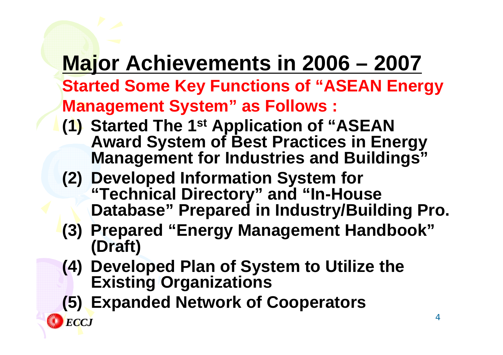# **Major Achievements in 2006 – 2007**

**Started Some Key Functions of "ASEAN Energy Management System" as Follows :**

- **(1) Started The 1st Application of "ASEAN Award System of Best Practices in Energy Management for Industries and Buildings"**
- **(2) Developed Information System for "Technical Directory" and "In-House Database" Prepared in Industry/Building Pro.**
- **(3) Prepared "Energy Management Handbook" (Draft)**
- **(4) Developed Plan of System to Utilize the Existing Organizations**
- **(5) Expanded Network of Cooperators**

*ECCJ*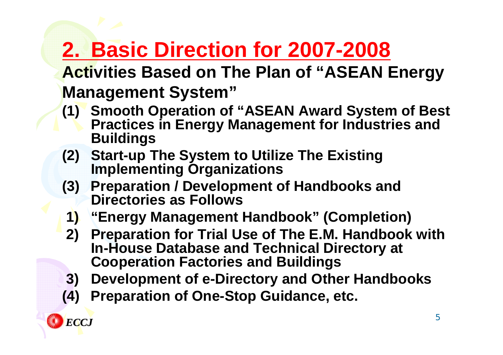## **2. Basic Direction for 2007-2008**

**Activities Based on The Plan of "ASEAN Energy Management System"**

- **(1) Smooth Operation of "ASEAN Award System of Best Practices in Energy Management for Industries and Buildings**
- **(2) Start-up The System to Utilize The Existing Implementing Organizations**
- **(3) Preparation / Development of Handbooks and Directories as Follows**
- **1) "Energy Management Handbook" (Completion)**
- **2) Preparation for Trial Use of The E.M. Handbook with In-House Database and Technical Directory at Cooperation Factories and Buildings**
- **3) Development of e-Directory and Other Handbooks**
- **(4) Preparation of One-Stop Guidance, etc.**

*ECCJ*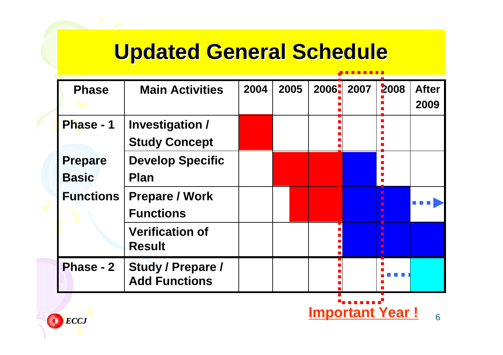## **Updated General Schedule**

| <b>Phase</b>     | <b>Main Activities</b>   | 2004                   | 2005 | 2006- | 2007 | 2008           | <b>After</b> |
|------------------|--------------------------|------------------------|------|-------|------|----------------|--------------|
|                  |                          |                        |      |       |      |                | 2009         |
| Phase - 1        | <b>Investigation /</b>   |                        |      |       |      |                |              |
|                  | <b>Study Concept</b>     |                        |      |       |      |                |              |
| <b>Prepare</b>   | <b>Develop Specific</b>  |                        |      |       |      |                |              |
| <b>Basic</b>     | <b>Plan</b>              |                        |      |       |      |                |              |
| <b>Functions</b> | <b>Prepare / Work</b>    |                        |      |       |      |                |              |
|                  | <b>Functions</b>         |                        |      |       |      |                |              |
|                  | <b>Verification of</b>   |                        |      |       |      | П              |              |
|                  | <b>Result</b>            |                        |      |       |      | $\blacksquare$ |              |
| <b>Phase - 2</b> | <b>Study / Prepare /</b> |                        |      |       |      |                |              |
|                  | <b>Add Functions</b>     |                        |      |       |      |                |              |
|                  |                          |                        |      |       |      |                |              |
| <b>ECCJ</b>      |                          | <b>Important Year!</b> |      | 6     |      |                |              |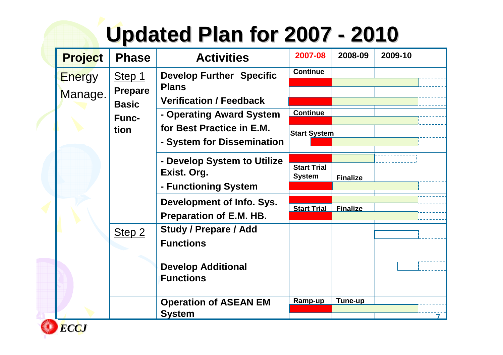#### **Updated Plan for 2007 -2010**

| <b>Project</b> | <b>Phase</b>                   | <b>Activities</b>                                           | 2007-08                             | 2008-09         | 2009-10 |  |
|----------------|--------------------------------|-------------------------------------------------------------|-------------------------------------|-----------------|---------|--|
| <b>Energy</b>  | Step 1                         | <b>Develop Further Specific</b><br><b>Plans</b>             | <b>Continue</b>                     |                 |         |  |
| Manage.        | <b>Prepare</b><br><b>Basic</b> | <b>Verification / Feedback</b>                              |                                     |                 |         |  |
|                | <b>Func-</b>                   | - Operating Award System<br>for Best Practice in E.M.       | <b>Continue</b>                     |                 |         |  |
|                | tion                           | - System for Dissemination                                  | <b>Start System</b>                 |                 |         |  |
|                |                                | - Develop System to Utilize<br>Exist. Org.                  | <b>Start Trial</b><br><b>System</b> | <b>Finalize</b> |         |  |
|                |                                | - Functioning System                                        |                                     |                 |         |  |
|                |                                | Development of Info. Sys.<br><b>Preparation of E.M. HB.</b> | <b>Start Trial</b>                  | <b>Finalize</b> |         |  |
|                | Step <sub>2</sub>              | <b>Study / Prepare / Add</b><br><b>Functions</b>            |                                     |                 |         |  |
|                |                                | <b>Develop Additional</b><br><b>Functions</b>               |                                     |                 |         |  |
|                |                                | <b>Operation of ASEAN EM</b><br><b>System</b>               | Ramp-up                             | Tune-up         |         |  |

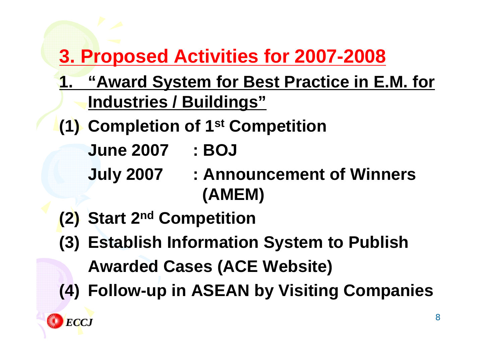#### **3. Proposed Activities for 2007-2008**

- **1. "Award System for Best Practice in E.M. for Industries / Buildings"**
- **(1) Completion of 1st Competition**
	- **June 2007 : BOJ**
	-
	- **July 2007 : Announcement of Winners (AMEM)**
- **(2) Start 2nd Competition**
- **(3) Establish Information System to Publish Awarded Cases (ACE Website)**
- **(4) Follow-up in ASEAN by Visiting Companies**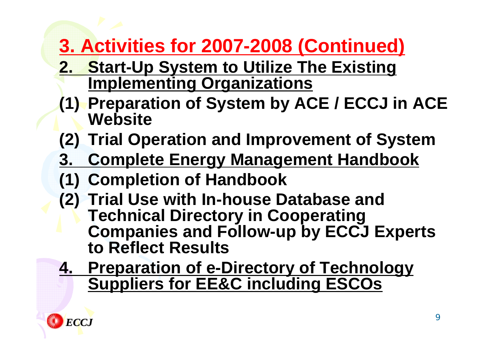#### **3. Activities for 2007-2008 (Continued)**

- **2. Start-Up System to Utilize The Existing Implementing Organizations**
- **(1) Preparation of System by ACE / ECCJ in ACE Website**
- **(2) Trial Operation and Improvement of System**
- **3. Complete Energy Management Handbook**
- **(1) Completion of Handbook**
- **(2) Trial Use with In-house Database and Technical Directory in Cooperating Companies and Follow-up by ECCJ Experts to Reflect Results**
- **4. Preparation of e-Directory of Technology Suppliers for EE&C including ESCOs**

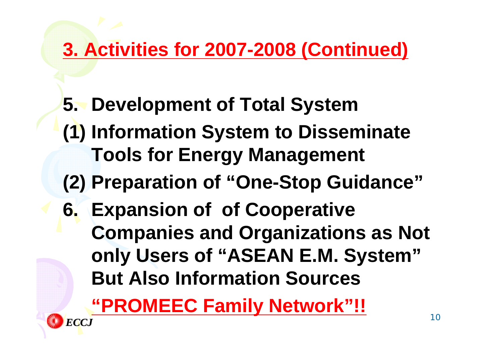#### **3. Activities for 2007-2008 (Continued)**

- **5. Development of Total System**
- **(1) Information System to Disseminate Tools for Energy Management**
- **(2) Preparation of "One-Stop Guidance"**
- **6. Expansion of of Cooperative Companies and Organizations as Not only Users of "ASEAN E.M. System" But Also Information Sources**

**"PROMEEC Family Network"!!** *ECCJ*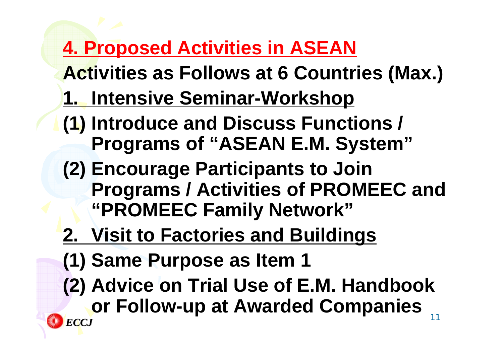#### **4. Proposed Activities in ASEAN**

- **Activities as Follows at 6 Countries (Max.) 1. Intensive Seminar-Workshop**
- **(1) Introduce and Discuss Functions / Programs of "ASEAN E.M. System"**
- **(2) Encourage Participants to Join Programs / Activities of PROMEEC and "PROMEEC Family Network"**
- **2. Visit to Factories and Buildings**
- **(1) Same Purpose as Item 1**
- **(2) Advice on Trial Use of E.M. Handbook or Follow-up at Awarded Companies** *ECCJ*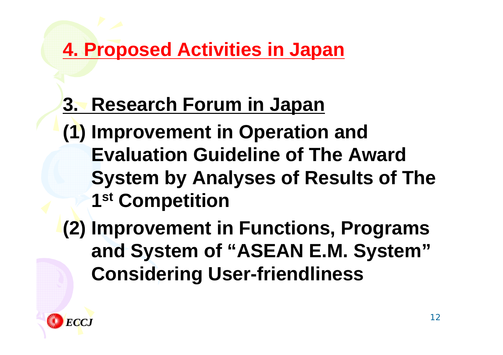#### **4. Proposed Activities in Japan**

## **3. Research Forum in Japan**

- **(1) Improvement in Operation and Evaluation Guideline of The Award System by Analyses of Results of The 1st Competition**
- **(2) Improvement in Functions, Programs and System of "ASEAN E.M. System" Considering User-friendliness**

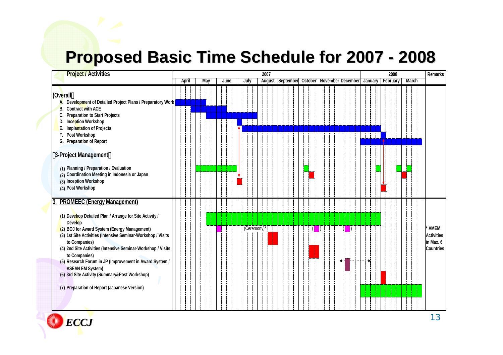#### **Proposed Basic Time Schedule for 2007 Proposed Basic Time Schedule for 2007 - 2008**

| <b>Project / Activities</b>                           |                                                                                                                                                                                                                                                                                                                                                                                                       |  |              |  |      |  |  |      |  |  |               | 2007 |                                             |  |  |  |  |  |  |  |  |  |          | 2008 |  |              | <b>Remarks</b>                                             |  |  |
|-------------------------------------------------------|-------------------------------------------------------------------------------------------------------------------------------------------------------------------------------------------------------------------------------------------------------------------------------------------------------------------------------------------------------------------------------------------------------|--|--------------|--|------|--|--|------|--|--|---------------|------|---------------------------------------------|--|--|--|--|--|--|--|--|--|----------|------|--|--------------|------------------------------------------------------------|--|--|
|                                                       |                                                                                                                                                                                                                                                                                                                                                                                                       |  | April<br>May |  | June |  |  | July |  |  | <b>August</b> |      | September October November December January |  |  |  |  |  |  |  |  |  | February |      |  | <b>March</b> |                                                            |  |  |
| (Ov <mark>e</mark> rall<br>А.<br>В.<br>C.<br>D.<br>F. | Development of Detailed Project Plans / Preparatory Work<br><b>Contract with ACE</b><br><b>Preparation to Start Projects</b><br>Inception Workshop<br><b>Implantation of Projects</b><br>Post Workshop                                                                                                                                                                                                |  |              |  |      |  |  |      |  |  |               |      |                                             |  |  |  |  |  |  |  |  |  |          |      |  |              |                                                            |  |  |
|                                                       | G. Preparation of Report<br>3-Project Management                                                                                                                                                                                                                                                                                                                                                      |  |              |  |      |  |  |      |  |  |               |      |                                             |  |  |  |  |  |  |  |  |  |          |      |  |              |                                                            |  |  |
|                                                       | (1) Planning / Preparation / Evaluation<br>(2) Coordination Meeting in Indonesia or Japan<br>(3) Inception Workshop<br>(4) Post Workshop                                                                                                                                                                                                                                                              |  |              |  |      |  |  |      |  |  |               |      |                                             |  |  |  |  |  |  |  |  |  |          |      |  |              |                                                            |  |  |
|                                                       | 3. PROMEEC (Energy Management)                                                                                                                                                                                                                                                                                                                                                                        |  |              |  |      |  |  |      |  |  |               |      |                                             |  |  |  |  |  |  |  |  |  |          |      |  |              |                                                            |  |  |
|                                                       | (1) Devekop Detailed Plan / Arrange for Site Activity /<br><b>Develop</b>                                                                                                                                                                                                                                                                                                                             |  |              |  |      |  |  |      |  |  |               |      |                                             |  |  |  |  |  |  |  |  |  |          |      |  |              |                                                            |  |  |
|                                                       | (2) BOJ for Award System (Energy Management)<br>(3) 1st Site Activities (Intensive Seminar-Workshop / Visits<br>to Companies)<br>(4) 2nd Site Activities (Intensive Seminar-Workshop / Visits<br>to Companies)<br>(5) Research Forum in JP (Improvement in Award System /<br><b>ASEAN EM System)</b><br>(6) 3rd Site Activity (Summary&Post Workshop)<br>(7) Preparation of Report (Japanese Version) |  |              |  |      |  |  |      |  |  | (Ceremony)*   |      |                                             |  |  |  |  |  |  |  |  |  |          |      |  |              | AMEM<br><b>Activities</b><br>in Max. 6<br><b>Countries</b> |  |  |
|                                                       |                                                                                                                                                                                                                                                                                                                                                                                                       |  |              |  |      |  |  |      |  |  |               |      |                                             |  |  |  |  |  |  |  |  |  |          |      |  |              |                                                            |  |  |